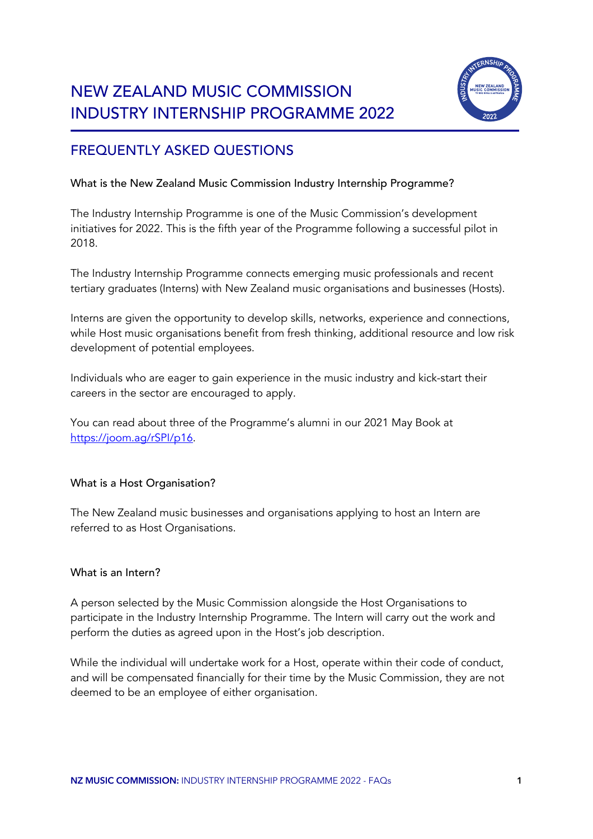# NEW ZEALAND MUSIC COMMISSION INDUSTRY INTERNSHIP PROGRAMME 2022



# FREQUENTLY ASKED QUESTIONS

# What is the New Zealand Music Commission Industry Internship Programme?

The Industry Internship Programme is one of the Music Commission's development initiatives for 2022. This is the fifth year of the Programme following a successful pilot in 2018.

The Industry Internship Programme connects emerging music professionals and recent tertiary graduates (Interns) with New Zealand music organisations and businesses (Hosts).

Interns are given the opportunity to develop skills, networks, experience and connections, while Host music organisations benefit from fresh thinking, additional resource and low risk development of potential employees.

Individuals who are eager to gain experience in the music industry and kick-start their careers in the sector are encouraged to apply.

You can read about three of the Programme's alumni in our 2021 May Book at https://joom.ag/rSPI/p16.

# What is a Host Organisation?

The New Zealand music businesses and organisations applying to host an Intern are referred to as Host Organisations.

# What is an Intern?

A person selected by the Music Commission alongside the Host Organisations to participate in the Industry Internship Programme. The Intern will carry out the work and perform the duties as agreed upon in the Host's job description.

While the individual will undertake work for a Host, operate within their code of conduct, and will be compensated financially for their time by the Music Commission, they are not deemed to be an employee of either organisation.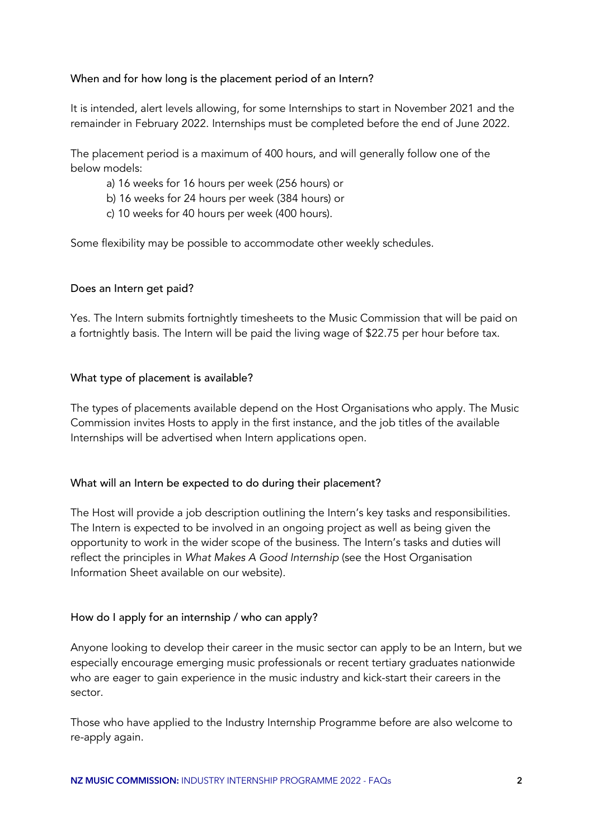#### When and for how long is the placement period of an Intern?

It is intended, alert levels allowing, for some Internships to start in November 2021 and the remainder in February 2022. Internships must be completed before the end of June 2022.

The placement period is a maximum of 400 hours, and will generally follow one of the below models:

- a) 16 weeks for 16 hours per week (256 hours) or
- b) 16 weeks for 24 hours per week (384 hours) or
- c) 10 weeks for 40 hours per week (400 hours).

Some flexibility may be possible to accommodate other weekly schedules.

#### Does an Intern get paid?

Yes. The Intern submits fortnightly timesheets to the Music Commission that will be paid on a fortnightly basis. The Intern will be paid the living wage of \$22.75 per hour before tax.

#### What type of placement is available?

The types of placements available depend on the Host Organisations who apply. The Music Commission invites Hosts to apply in the first instance, and the job titles of the available Internships will be advertised when Intern applications open.

#### What will an Intern be expected to do during their placement?

The Host will provide a job description outlining the Intern's key tasks and responsibilities. The Intern is expected to be involved in an ongoing project as well as being given the opportunity to work in the wider scope of the business. The Intern's tasks and duties will reflect the principles in *What Makes A Good Internship* (see the Host Organisation Information Sheet available on our website)*.*

# How do I apply for an internship / who can apply?

Anyone looking to develop their career in the music sector can apply to be an Intern, but we especially encourage emerging music professionals or recent tertiary graduates nationwide who are eager to gain experience in the music industry and kick-start their careers in the sector.

Those who have applied to the Industry Internship Programme before are also welcome to re-apply again.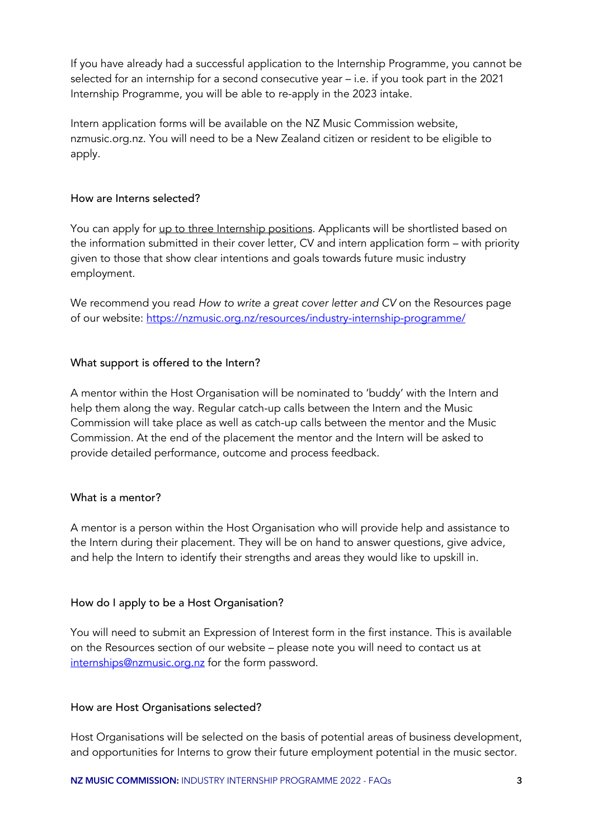If you have already had a successful application to the Internship Programme, you cannot be selected for an internship for a second consecutive year – i.e. if you took part in the 2021 Internship Programme, you will be able to re-apply in the 2023 intake.

Intern application forms will be available on the NZ Music Commission website, nzmusic.org.nz. You will need to be a New Zealand citizen or resident to be eligible to apply.

#### How are Interns selected?

You can apply for up to three Internship positions. Applicants will be shortlisted based on the information submitted in their cover letter, CV and intern application form – with priority given to those that show clear intentions and goals towards future music industry employment.

We recommend you read *How to write a great cover letter and CV* on the Resources page of our website: https://nzmusic.org.nz/resources/industry-internship-programme/

# What support is offered to the Intern?

A mentor within the Host Organisation will be nominated to 'buddy' with the Intern and help them along the way. Regular catch-up calls between the Intern and the Music Commission will take place as well as catch-up calls between the mentor and the Music Commission. At the end of the placement the mentor and the Intern will be asked to provide detailed performance, outcome and process feedback.

# What is a mentor?

A mentor is a person within the Host Organisation who will provide help and assistance to the Intern during their placement. They will be on hand to answer questions, give advice, and help the Intern to identify their strengths and areas they would like to upskill in.

#### How do I apply to be a Host Organisation?

You will need to submit an Expression of Interest form in the first instance. This is available on the Resources section of our website – please note you will need to contact us at internships@nzmusic.org.nz for the form password.

#### How are Host Organisations selected?

Host Organisations will be selected on the basis of potential areas of business development, and opportunities for Interns to grow their future employment potential in the music sector.